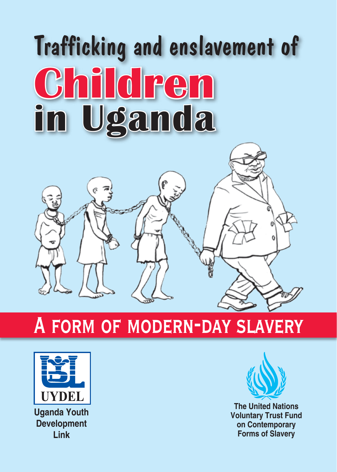# Trafficking and enslavement of **Children in Uganda**

# **A form of modern-day slavery**



**Uganda Youth Development Link**



**The United Nations Voluntary Trust Fund on Contemporary Forms of Slavery**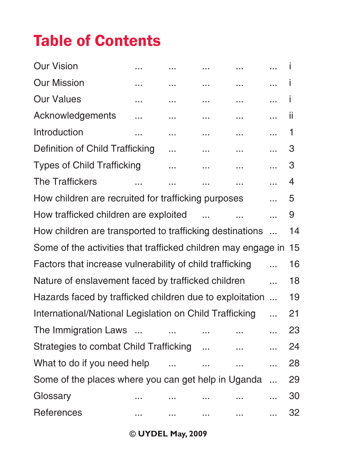## Table of Contents

| Our Vision                                                       |          | <br> | <br>.     | ı  |
|------------------------------------------------------------------|----------|------|-----------|----|
| <b>Our Mission</b>                                               |          |      | <br>      | T  |
| <b>Our Values</b>                                                |          | <br> | <br>      | Ť  |
| Acknowledgements                                                 |          | <br> |           | ii |
| Introduction                                                     |          | <br> | <br>      | 1  |
| Definition of Child Trafficking                                  |          |      | <br>.     | 3  |
| <b>Types of Child Trafficking</b>                                |          | <br> |           | 3  |
| <b>The Traffickers</b>                                           | $\cdots$ | .    | <br>.     | 4  |
| How children are recruited for trafficking purposes              |          |      | .         | 5  |
| How trafficked children are exploited                            |          |      | .         | 9  |
| How children are transported to trafficking destinations         |          |      | $\ddotsc$ | 14 |
| Some of the activities that trafficked children may engage in 15 |          |      |           |    |
| Factors that increase vulnerability of child trafficking         |          |      |           | 16 |
| Nature of enslavement faced by trafficked children               |          |      | .         | 18 |
| Hazards faced by trafficked children due to exploitation         |          |      | $\ddotsc$ | 19 |
| International/National Legislation on Child Trafficking          |          |      | .         | 21 |
| The Immigration Laws                                             |          |      | .         | 23 |
| Strategies to combat Child Trafficking                           |          |      | <br>.     | 24 |
| What to do if you need help                                      |          |      | <br>      | 28 |
| Some of the places where you can get help in Uganda              |          |      | .         | 29 |
| Glossary                                                         |          |      |           | 30 |
| References                                                       |          | <br> | <br>      | 32 |

**© UYDEL May, 2009**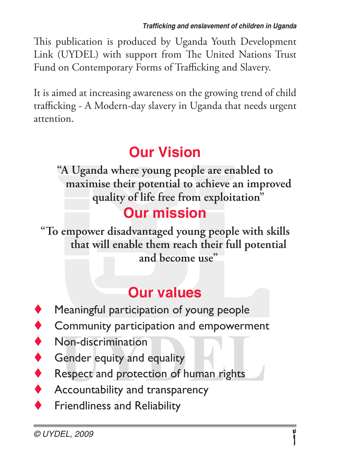This publication is produced by Uganda Youth Development Link (UYDEL) with support from The United Nations Trust Fund on Contemporary Forms of Trafficking and Slavery.

It is aimed at increasing awareness on the growing trend of child trafficking - A Modern-day slavery in Uganda that needs urgent attention.

## **Our Vision**

**"A Uganda where young people are enabled to maximise their potential to achieve an improved quality of life free from exploitation"**

#### **Our mission**

**"To empower disadvantaged young people with skills that will enable them reach their full potential and become use"**

#### **Our values**

- Meaningful participation of young people
- Community participation and empowerment
- Non-discrimination
- Gender equity and equality
- Respect and protection of human rights
- Accountability and transparency
- Friendliness and Reliability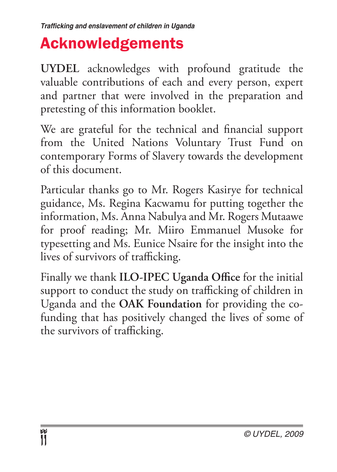## Acknowledgements

**UYDEL** acknowledges with profound gratitude the valuable contributions of each and every person, expert and partner that were involved in the preparation and pretesting of this information booklet.

We are grateful for the technical and financial support from the United Nations Voluntary Trust Fund on contemporary Forms of Slavery towards the development of this document.

Particular thanks go to Mr. Rogers Kasirye for technical guidance, Ms. Regina Kacwamu for putting together the information, Ms. Anna Nabulya and Mr. Rogers Mutaawe for proof reading; Mr. Miiro Emmanuel Musoke for typesetting and Ms. Eunice Nsaire for the insight into the lives of survivors of trafficking.

Finally we thank **ILO-IPEC Uganda Office** for the initial support to conduct the study on trafficking of children in Uganda and the **OAK Foundation** for providing the cofunding that has positively changed the lives of some of the survivors of trafficking.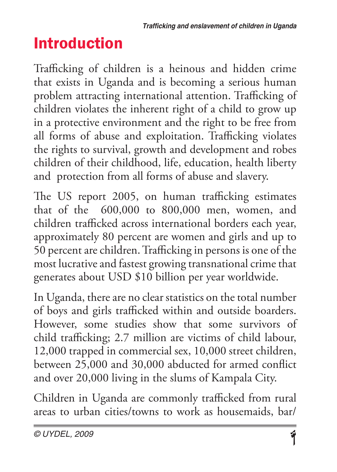# Introduction

Trafficking of children is a heinous and hidden crime that exists in Uganda and is becoming a serious human problem attracting international attention. Trafficking of children violates the inherent right of a child to grow up in a protective environment and the right to be free from all forms of abuse and exploitation. Trafficking violates the rights to survival, growth and development and robes children of their childhood, life, education, health liberty and protection from all forms of abuse and slavery.

The US report 2005, on human trafficking estimates that of the 600,000 to 800,000 men, women, and children trafficked across international borders each year, approximately 80 percent are women and girls and up to 50 percent are children. Trafficking in persons is one of the most lucrative and fastest growing transnational crime that generates about USD \$10 billion per year worldwide.

In Uganda, there are no clear statistics on the total number of boys and girls trafficked within and outside boarders. However, some studies show that some survivors of child trafficking; 2.7 million are victims of child labour, 12,000 trapped in commercial sex, 10,000 street children, between 25,000 and 30,000 abducted for armed conflict and over 20,000 living in the slums of Kampala City.

Children in Uganda are commonly trafficked from rural areas to urban cities/towns to work as housemaids, bar/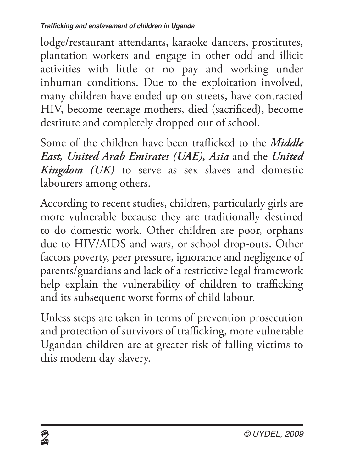lodge/restaurant attendants, karaoke dancers, prostitutes, plantation workers and engage in other odd and illicit activities with little or no pay and working under inhuman conditions. Due to the exploitation involved, many children have ended up on streets, have contracted HIV, become teenage mothers, died (sacrificed), become destitute and completely dropped out of school.

Some of the children have been trafficked to the *Middle East, United Arab Emirates (UAE), Asia* and the *United Kingdom (UK)* to serve as sex slaves and domestic labourers among others.

According to recent studies, children, particularly girls are more vulnerable because they are traditionally destined to do domestic work. Other children are poor, orphans due to HIV/AIDS and wars, or school drop-outs. Other factors poverty, peer pressure, ignorance and negligence of parents/guardians and lack of a restrictive legal framework help explain the vulnerability of children to trafficking and its subsequent worst forms of child labour.

Unless steps are taken in terms of prevention prosecution and protection of survivors of trafficking, more vulnerable Ugandan children are at greater risk of falling victims to this modern day slavery.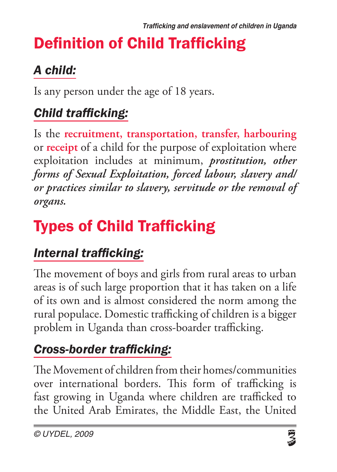# Definition of Child Trafficking

## *A child:*

Is any person under the age of 18 years.

#### *Child trafficking:*

Is the **recruitment, transportation, transfer, harbouring** or **receipt** of a child for the purpose of exploitation where exploitation includes at minimum, *prostitution, other forms of Sexual Exploitation, forced labour, slavery and/ or practices similar to slavery, servitude or the removal of organs.*

# Types of Child Trafficking

#### *Internal trafficking:*

The movement of boys and girls from rural areas to urban areas is of such large proportion that it has taken on a life of its own and is almost considered the norm among the rural populace. Domestic trafficking of children is a bigger problem in Uganda than cross-boarder trafficking.

#### *Cross-border trafficking:*

The Movement of children from their homes/communities over international borders. This form of trafficking is fast growing in Uganda where children are trafficked to the United Arab Emirates, the Middle East, the United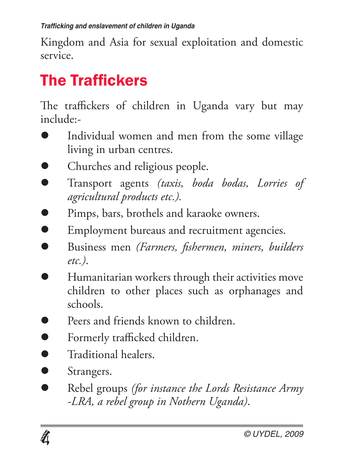Kingdom and Asia for sexual exploitation and domestic service.

# The Traffickers

The traffickers of children in Uganda vary but may include:-

- l Individual women and men from the some village living in urban centres.
- Churches and religious people.
- l Transport agents *(taxis, boda bodas, Lorries of agricultural products etc.).*
- **Pimps, bars, brothels and karaoke owners.**
- **Employment bureaus and recruitment agencies.**
- l Business men *(Farmers, fishermen, miners, builders etc.)*.
- l Humanitarian workers through their activities move children to other places such as orphanages and schools.
- Peers and friends known to children.
- **D** Formerly trafficked children.
- l Traditional healers.
- **Strangers.**
- **Rebel groups** *(for instance the Lords Resistance Army -LRA, a rebel group in Nothern Uganda)*.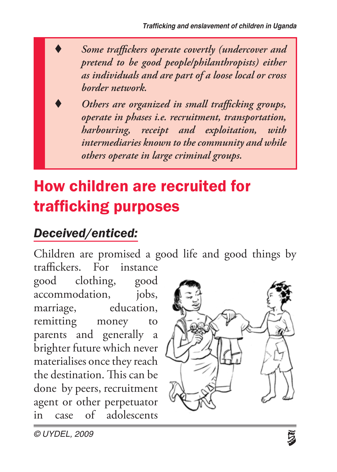Some traffickers operate covertly (undercover and *pretend to be good people/philanthropists) either as individuals and are part of a loose local or cross border network.*

t *Others are organized in small trafficking groups, operate in phases i.e. recruitment, transportation, harbouring, receipt and exploitation, with intermediaries known to the community and while others operate in large criminal groups.*

# How children are recruited for trafficking purposes

#### *Deceived/enticed:*

Children are promised a good life and good things by traffickers. For instance

good clothing, good accommodation, jobs, marriage, education, remitting money to parents and generally a brighter future which never materialises once they reach the destination. This can be done by peers, recruitment agent or other perpetuator in case of adolescents

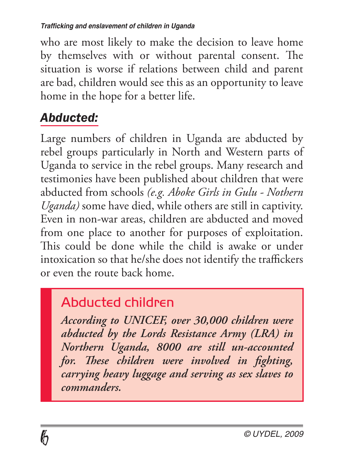who are most likely to make the decision to leave home by themselves with or without parental consent. The situation is worse if relations between child and parent are bad, children would see this as an opportunity to leave home in the hope for a better life.

## *Abducted:*

Large numbers of children in Uganda are abducted by rebel groups particularly in North and Western parts of Uganda to service in the rebel groups. Many research and testimonies have been published about children that were abducted from schools *(e.g. Aboke Girls in Gulu - Nothern Uganda)* some have died, while others are still in captivity. Even in non-war areas, children are abducted and moved from one place to another for purposes of exploitation. This could be done while the child is awake or under intoxication so that he/she does not identify the traffickers or even the route back home.

## Abducted children

*According to UNICEF, over 30,000 children were abducted by the Lords Resistance Army (LRA) in Northern Uganda, 8000 are still un-accounted for. These children were involved in fighting, carrying heavy luggage and serving as sex slaves to commanders.*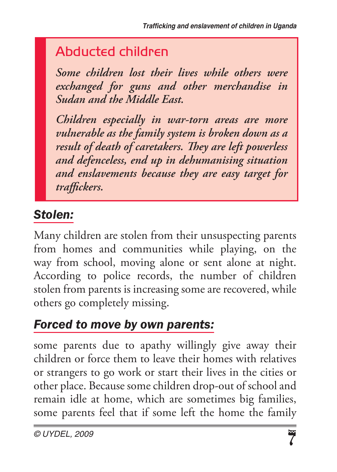## Abducted children

*Some children lost their lives while others were exchanged for guns and other merchandise in Sudan and the Middle East.*

*Children especially in war-torn areas are more vulnerable as the family system is broken down as a result of death of caretakers. They are left powerless and defenceless, end up in dehumanising situation and enslavements because they are easy target for traffickers.*

## *Stolen:*

Many children are stolen from their unsuspecting parents from homes and communities while playing, on the way from school, moving alone or sent alone at night. According to police records, the number of children stolen from parents is increasing some are recovered, while others go completely missing.

#### *Forced to move by own parents:*

some parents due to apathy willingly give away their children or force them to leave their homes with relatives or strangers to go work or start their lives in the cities or other place. Because some children drop-out of school and remain idle at home, which are sometimes big families, some parents feel that if some left the home the family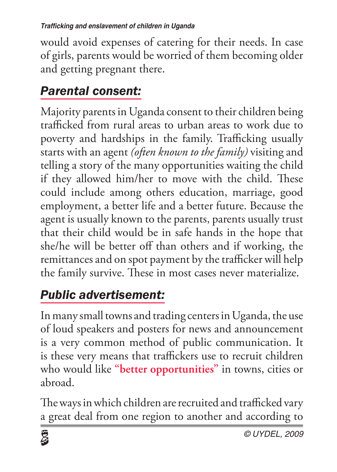would avoid expenses of catering for their needs. In case of girls, parents would be worried of them becoming older and getting pregnant there.

## *Parental consent:*

Majority parents in Uganda consent to their children being trafficked from rural areas to urban areas to work due to poverty and hardships in the family. Trafficking usually starts with an agent *(often known to the family)* visiting and telling a story of the many opportunities waiting the child if they allowed him/her to move with the child. These could include among others education, marriage, good employment, a better life and a better future. Because the agent is usually known to the parents, parents usually trust that their child would be in safe hands in the hope that she/he will be better off than others and if working, the remittances and on spot payment by the trafficker will help the family survive. These in most cases never materialize.

## *Public advertisement:*

In many small towns and trading centers in Uganda, the use of loud speakers and posters for news and announcement is a very common method of public communication. It is these very means that traffickers use to recruit children who would like **"better opportunities"** in towns, cities or abroad.

The ways in which children are recruited and trafficked vary a great deal from one region to another and according to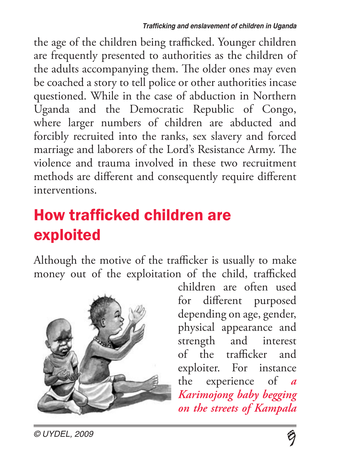the age of the children being trafficked. Younger children are frequently presented to authorities as the children of the adults accompanying them. The older ones may even be coached a story to tell police or other authorities incase questioned. While in the case of abduction in Northern Uganda and the Democratic Republic of Congo, where larger numbers of children are abducted and forcibly recruited into the ranks, sex slavery and forced marriage and laborers of the Lord's Resistance Army. The violence and trauma involved in these two recruitment methods are different and consequently require different interventions.

# How trafficked children are exploited

Although the motive of the trafficker is usually to make money out of the exploitation of the child, trafficked



children are often used for different purposed depending on age, gender, physical appearance and strength and interest of the trafficker and exploiter. For instance the experience of *a Karimojong baby begging on the streets of Kampala*

*© UYDEL, 2009*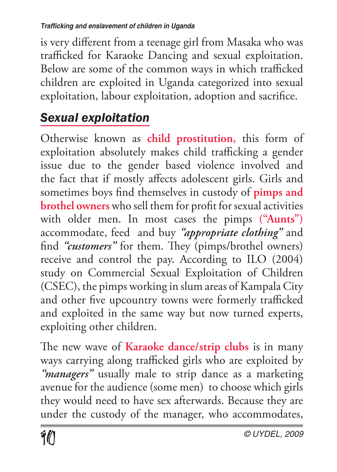is very different from a teenage girl from Masaka who was trafficked for Karaoke Dancing and sexual exploitation. Below are some of the common ways in which trafficked children are exploited in Uganda categorized into sexual exploitation, labour exploitation, adoption and sacrifice.

## *Sexual exploitation*

Otherwise known as **child prostitution,** this form of exploitation absolutely makes child trafficking a gender issue due to the gender based violence involved and the fact that if mostly affects adolescent girls. Girls and sometimes boys find themselves in custody of **pimps and brothel owners** who sell them for profit for sexual activities with older men. In most cases the pimps **("Aunts")** accommodate, feed and buy *"appropriate clothing"* and find *"customers"* for them. They (pimps/brothel owners) receive and control the pay. According to ILO (2004) study on Commercial Sexual Exploitation of Children (CSEC), the pimps working in slum areas of Kampala City and other five upcountry towns were formerly trafficked and exploited in the same way but now turned experts, exploiting other children.

The new wave of **Karaoke dance/strip clubs** is in many ways carrying along trafficked girls who are exploited by *"managers"* usually male to strip dance as a marketing avenue for the audience (some men) to choose which girls they would need to have sex afterwards. Because they are under the custody of the manager, who accommodates,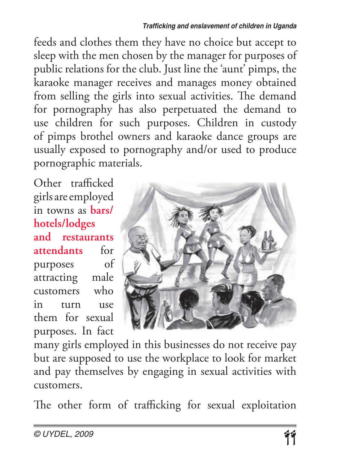#### *Trafficking and enslavement of children in Uganda*

feeds and clothes them they have no choice but accept to sleep with the men chosen by the manager for purposes of public relations for the club. Just line the 'aunt' pimps, the karaoke manager receives and manages money obtained from selling the girls into sexual activities. The demand for pornography has also perpetuated the demand to use children for such purposes. Children in custody of pimps brothel owners and karaoke dance groups are usually exposed to pornography and/or used to produce pornographic materials.

Other trafficked girls are employed in towns as **bars/ hotels/lodges and restaurants attendants** for purposes of attracting male customers who in turn use them for sexual purposes. In fact



many girls employed in this businesses do not receive pay but are supposed to use the workplace to look for market and pay themselves by engaging in sexual activities with customers.

The other form of trafficking for sexual exploitation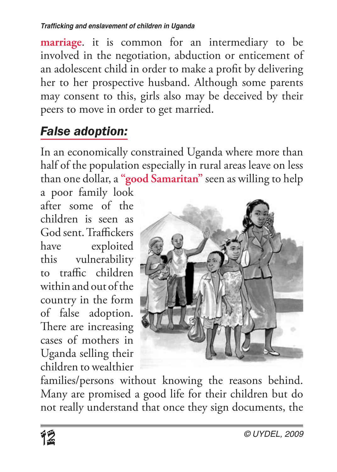**marriage**. it is common for an intermediary to be involved in the negotiation, abduction or enticement of an adolescent child in order to make a profit by delivering her to her prospective husband. Although some parents may consent to this, girls also may be deceived by their peers to move in order to get married.

#### *False adoption:*

In an economically constrained Uganda where more than half of the population especially in rural areas leave on less than one dollar, a **"good Samaritan"** seen as willing to help

a poor family look after some of the children is seen as God sent. Traffickers have exploited this vulnerability to traffic children within and out of the country in the form of false adoption. There are increasing cases of mothers in Uganda selling their children to wealthier



families/persons without knowing the reasons behind. Many are promised a good life for their children but do not really understand that once they sign documents, the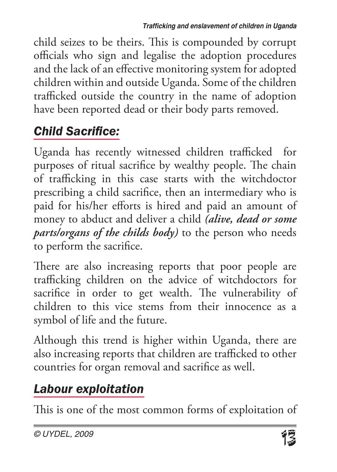child seizes to be theirs. This is compounded by corrupt officials who sign and legalise the adoption procedures and the lack of an effective monitoring system for adopted children within and outside Uganda. Some of the children trafficked outside the country in the name of adoption have been reported dead or their body parts removed.

## *Child Sacrifice:*

Uganda has recently witnessed children trafficked for purposes of ritual sacrifice by wealthy people. The chain of trafficking in this case starts with the witchdoctor prescribing a child sacrifice, then an intermediary who is paid for his/her efforts is hired and paid an amount of money to abduct and deliver a child *(alive, dead or some parts/organs of the childs body)* to the person who needs to perform the sacrifice.

There are also increasing reports that poor people are trafficking children on the advice of witchdoctors for sacrifice in order to get wealth. The vulnerability of children to this vice stems from their innocence as a symbol of life and the future.

Although this trend is higher within Uganda, there are also increasing reports that children are trafficked to other countries for organ removal and sacrifice as well.

## *Labour exploitation*

This is one of the most common forms of exploitation of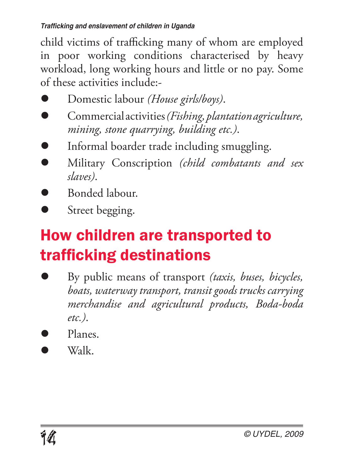child victims of trafficking many of whom are employed in poor working conditions characterised by heavy workload, long working hours and little or no pay. Some of these activities include:-

- l Domestic labour *(House girls/boys)*.
- l Commercial activities *(Fishing, plantation agriculture, mining, stone quarrying, building etc.)*.
- l Informal boarder trade including smuggling.
- l Military Conscription *(child combatants and sex slaves)*.
- l Bonded labour.
- Street begging.

# How children are transported to trafficking destinations

- l By public means of transport *(taxis, buses, bicycles, boats, waterway transport, transit goods trucks carrying merchandise and agricultural products, Boda-boda etc.)*.
- Planes
- $W_2$ lk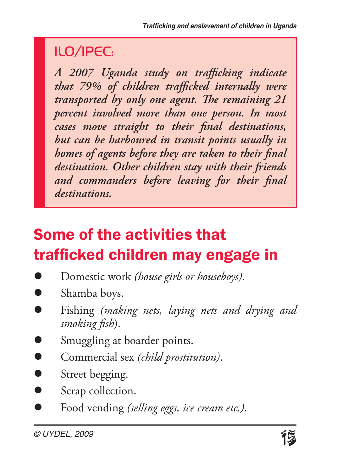## ILO/IPEC:

*A 2007 Uganda study on trafficking indicate that 79% of children trafficked internally were transported by only one agent. The remaining 21 percent involved more than one person. In most cases move straight to their final destinations, but can be harboured in transit points usually in homes of agents before they are taken to their final destination. Other children stay with their friends and commanders before leaving for their final destinations.*

# Some of the activities that trafficked children may engage in

- l Domestic work *(house girls or houseboys)*.
- Shamba boys.
- l Fishing *(making nets, laying nets and drying and smoking fish*).
- Smuggling at boarder points.
- **Commercial sex** *(child prostitution)*.
- Street begging.
- Scrap collection.
- l Food vending *(selling eggs, ice cream etc.)*.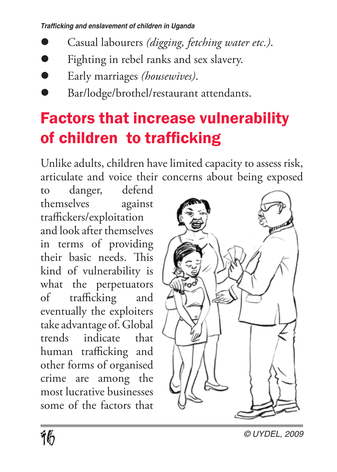*Trafficking and enslavement of children in Uganda*

- l Casual labourers *(digging, fetching water etc.)*.
- Fighting in rebel ranks and sex slavery.
- l Early marriages *(housewives)*.
- l Bar/lodge/brothel/restaurant attendants.

# Factors that increase vulnerability of children to trafficking

Unlike adults, children have limited capacity to assess risk, articulate and voice their concerns about being exposed

to danger, defend themselves against traffickers/exploitation and look after themselves in terms of providing their basic needs. This kind of vulnerability is what the perpetuators of trafficking and eventually the exploiters take advantage of. Global trends indicate that human trafficking and other forms of organised crime are among the most lucrative businesses some of the factors that

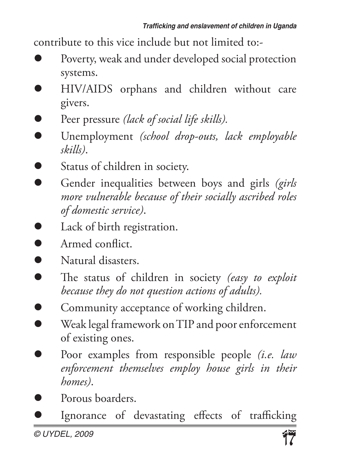contribute to this vice include but not limited to:-

- Poverty, weak and under developed social protection systems.
- l HIV/AIDS orphans and children without care givers.
- **•** Peer pressure *(lack of social life skills)*.
- l Unemployment *(school drop-outs, lack employable skills)*.
- **Status of children in society.**
- **•** Gender inequalities between boys and girls *(girls more vulnerable because of their socially ascribed roles of domestic service)*.
- **l** Lack of birth registration.
- $\bullet$  Armed conflict.
- **Natural disasters.**
- **lacks** The status of children in society *(easy to exploit*) *because they do not question actions of adults).*
- **•** Community acceptance of working children.
- l Weak legal framework on TIP and poor enforcement of existing ones.
- l Poor examples from responsible people *(i.e. law enforcement themselves employ house girls in their homes)*.
- Porous boarders.
- Ignorance of devastating effects of trafficking

*© UYDEL, 2009*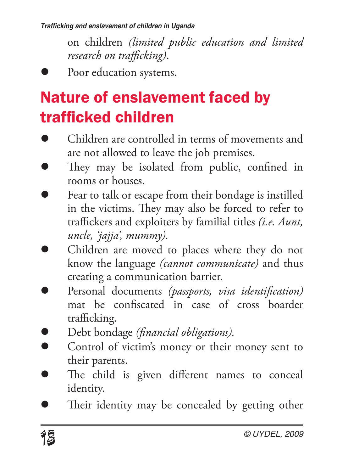*Trafficking and enslavement of children in Uganda*

on children *(limited public education and limited research on trafficking)*.

Poor education systems.

# Nature of enslavement faced by trafficked children

- Children are controlled in terms of movements and are not allowed to leave the job premises.
- They may be isolated from public, confined in rooms or houses.
- Fear to talk or escape from their bondage is instilled in the victims. They may also be forced to refer to traffickers and exploiters by familial titles *(i.e. Aunt, uncle, 'jajja', mummy).*
- Children are moved to places where they do not know the language *(cannot communicate)* and thus creating a communication barrier.
- l Personal documents *(passports, visa identification)* mat be confiscated in case of cross boarder trafficking.
- l Debt bondage *(financial obligations).*
- Control of victim's money or their money sent to their parents.
- The child is given different names to conceal identity.
- Their identity may be concealed by getting other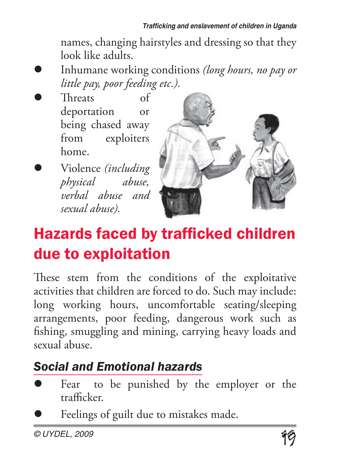names, changing hairstyles and dressing so that they look like adults.

- l Inhumane working conditions *(long hours, no pay or little pay, poor feeding etc.).*
- l Threats of deportation or being chased away from exploiters home.
- l Violence *(including physical abuse, verbal abuse and sexual abuse).*



# Hazards faced by trafficked children due to exploitation

These stem from the conditions of the exploitative activities that children are forced to do. Such may include: long working hours, uncomfortable seating/sleeping arrangements, poor feeding, dangerous work such as fishing, smuggling and mining, carrying heavy loads and sexual abuse.

## *Social and Emotional hazards*

- Fear to be punished by the employer or the trafficker.
- Feelings of guilt due to mistakes made.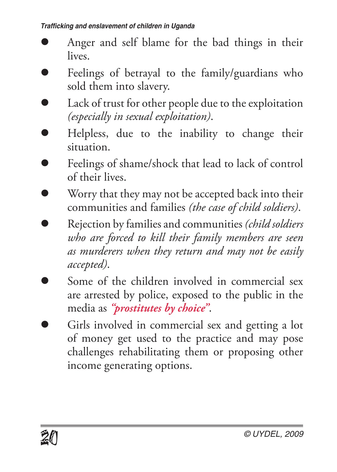- l Anger and self blame for the bad things in their lives.
- Feelings of betrayal to the family/guardians who sold them into slavery.
- Lack of trust for other people due to the exploitation *(especially in sexual exploitation)*.
- l Helpless, due to the inability to change their situation.
- Feelings of shame/shock that lead to lack of control of their lives.
- Worry that they may not be accepted back into their communities and families *(the case of child soldiers)*.
- l Rejection by families and communities *(child soldiers who are forced to kill their family members are seen as murderers when they return and may not be easily accepted)*.
- Some of the children involved in commercial sex are arrested by police, exposed to the public in the media as *"prostitutes by choice"*.
- Girls involved in commercial sex and getting a lot of money get used to the practice and may pose challenges rehabilitating them or proposing other income generating options.

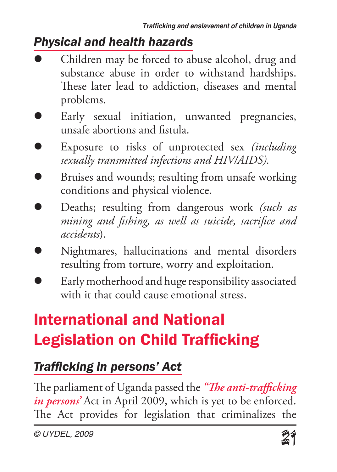#### *Physical and health hazards*

- Children may be forced to abuse alcohol, drug and substance abuse in order to withstand hardships. These later lead to addiction, diseases and mental problems.
- Early sexual initiation, unwanted pregnancies, unsafe abortions and fistula.
- l Exposure to risks of unprotected sex *(including sexually transmitted infections and HIV/AIDS).*
- Bruises and wounds; resulting from unsafe working conditions and physical violence.
- l Deaths; resulting from dangerous work *(such as mining and fishing, as well as suicide, sacrifice and accidents*).
- l Nightmares, hallucinations and mental disorders resulting from torture, worry and exploitation.
- Early motherhood and huge responsibility associated with it that could cause emotional stress.

# International and National Legislation on Child Trafficking

#### *Trafficking in persons' Act*

The parliament of Uganda passed the *"The anti-trafficking in persons'* Act in April 2009, which is yet to be enforced. The Act provides for legislation that criminalizes the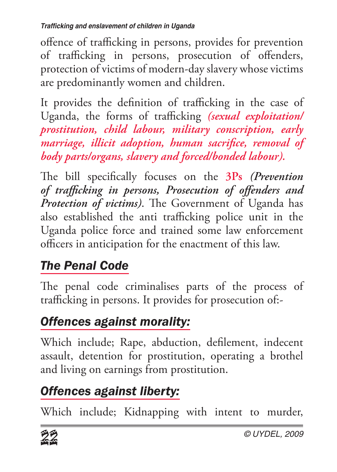offence of trafficking in persons, provides for prevention of trafficking in persons, prosecution of offenders, protection of victims of modern-day slavery whose victims are predominantly women and children.

It provides the definition of trafficking in the case of Uganda, the forms of trafficking *(sexual exploitation/ prostitution, child labour, military conscription, early marriage, illicit adoption, human sacrifice, removal of body parts/organs, slavery and forced/bonded labour).*

The bill specifically focuses on the **3Ps** *(Prevention of trafficking in persons, Prosecution of offenders and Protection of victims)*. The Government of Uganda has also established the anti trafficking police unit in the Uganda police force and trained some law enforcement officers in anticipation for the enactment of this law.

## *The Penal Code*

The penal code criminalises parts of the process of trafficking in persons. It provides for prosecution of:-

## *Offences against morality:*

Which include; Rape, abduction, defilement, indecent assault, detention for prostitution, operating a brothel and living on earnings from prostitution.

## *Offences against liberty:*

Which include; Kidnapping with intent to murder,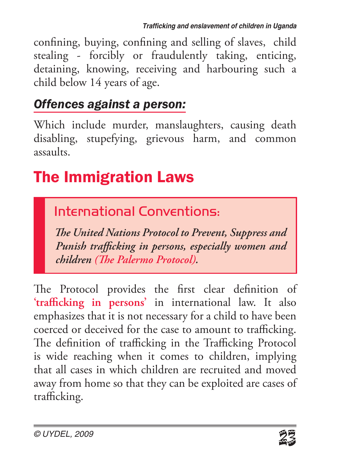confining, buying, confining and selling of slaves, child stealing - forcibly or fraudulently taking, enticing, detaining, knowing, receiving and harbouring such a child below 14 years of age.

#### *Offences against a person:*

Which include murder, manslaughters, causing death disabling, stupefying, grievous harm, and common assaults.

# The Immigration Laws

## International Conventions:

*The United Nations Protocol to Prevent, Suppress and Punish trafficking in persons, especially women and children (The Palermo Protocol).*

The Protocol provides the first clear definition of **'trafficking in persons'** in international law. It also emphasizes that it is not necessary for a child to have been coerced or deceived for the case to amount to trafficking. The definition of trafficking in the Trafficking Protocol is wide reaching when it comes to children, implying that all cases in which children are recruited and moved away from home so that they can be exploited are cases of trafficking.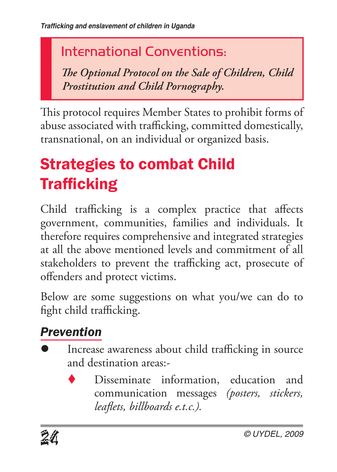## International Conventions:

*The Optional Protocol on the Sale of Children, Child Prostitution and Child Pornography.*

This protocol requires Member States to prohibit forms of abuse associated with trafficking, committed domestically, transnational, on an individual or organized basis.

# Strategies to combat Child Trafficking

Child trafficking is a complex practice that affects government, communities, families and individuals. It therefore requires comprehensive and integrated strategies at all the above mentioned levels and commitment of all stakeholders to prevent the trafficking act, prosecute of offenders and protect victims.

Below are some suggestions on what you/we can do to fight child trafficking.

## *Prevention*

- Increase awareness about child trafficking in source and destination areas:-
	- Disseminate information, education and communication messages *(posters, stickers, leaflets, billboards e.t.c.).*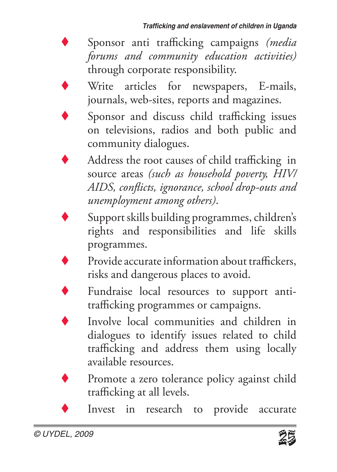- Sponsor anti trafficking campaigns *(media forums and community education activities)* through corporate responsibility.
- Write articles for newspapers, E-mails, journals, web-sites, reports and magazines.
- Sponsor and discuss child trafficking issues on televisions, radios and both public and community dialogues.
	- Address the root causes of child trafficking in source areas *(such as household poverty, HIV/ AIDS, conflicts, ignorance, school drop-outs and unemployment among others)*.
- Support skills building programmes, children's rights and responsibilities and life skills programmes.
	- Provide accurate information about traffickers, risks and dangerous places to avoid.
- 
- Fundraise local resources to support antitrafficking programmes or campaigns.
- Involve local communities and children in dialogues to identify issues related to child trafficking and address them using locally available resources.
- Promote a zero tolerance policy against child trafficking at all levels.
	- Invest in research to provide accurate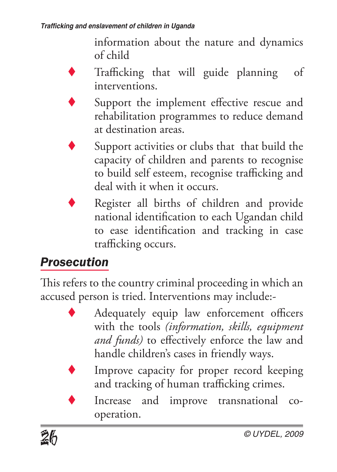information about the nature and dynamics of child

Trafficking that will guide planning of interventions.

- Support the implement effective rescue and rehabilitation programmes to reduce demand at destination areas.
- Support activities or clubs that that build the capacity of children and parents to recognise to build self esteem, recognise trafficking and deal with it when it occurs.
- Register all births of children and provide national identification to each Ugandan child to ease identification and tracking in case trafficking occurs.

#### *Prosecution*

This refers to the country criminal proceeding in which an accused person is tried. Interventions may include:-

- Adequately equip law enforcement officers with the tools *(information, skills, equipment and funds)* to effectively enforce the law and handle children's cases in friendly ways.
- Improve capacity for proper record keeping and tracking of human trafficking crimes.
- Increase and improve transnational cooperation.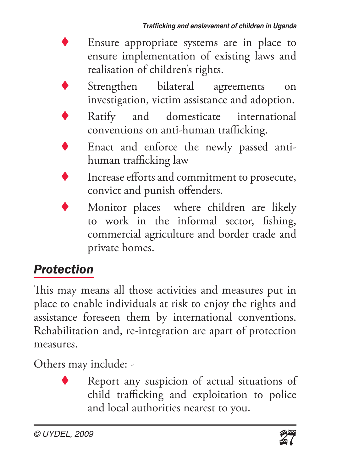- Ensure appropriate systems are in place to ensure implementation of existing laws and realisation of children's rights.
- Strengthen bilateral agreements on investigation, victim assistance and adoption.
- Ratify and domesticate international conventions on anti-human trafficking.
- Enact and enforce the newly passed antihuman trafficking law
- Increase efforts and commitment to prosecute, convict and punish offenders.
- Monitor places where children are likely to work in the informal sector, fishing, commercial agriculture and border trade and private homes.

#### *Protection*

This may means all those activities and measures put in place to enable individuals at risk to enjoy the rights and assistance foreseen them by international conventions. Rehabilitation and, re-integration are apart of protection measures.

Others may include: -

Report any suspicion of actual situations of child trafficking and exploitation to police and local authorities nearest to you.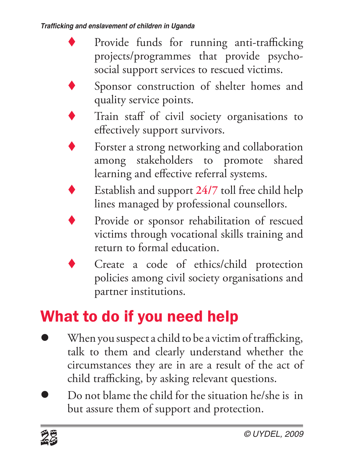- Provide funds for running anti-trafficking projects/programmes that provide psychosocial support services to rescued victims.
- Sponsor construction of shelter homes and quality service points.
- Train staff of civil society organisations to effectively support survivors.
- Forster a strong networking and collaboration among stakeholders to promote shared learning and effective referral systems.
- Establish and support 24/7 toll free child help lines managed by professional counsellors.
- Provide or sponsor rehabilitation of rescued victims through vocational skills training and return to formal education.
- Create a code of ethics/child protection policies among civil society organisations and partner institutions.

# What to do if you need help

- When you suspect a child to be a victim of trafficking, talk to them and clearly understand whether the circumstances they are in are a result of the act of child trafficking, by asking relevant questions.
- Do not blame the child for the situation he/she is in but assure them of support and protection.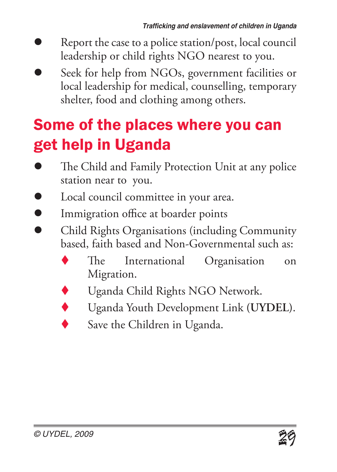- Report the case to a police station/post, local council leadership or child rights NGO nearest to you.
- Seek for help from NGOs, government facilities or local leadership for medical, counselling, temporary shelter, food and clothing among others.

## Some of the places where you can get help in Uganda

- The Child and Family Protection Unit at any police station near to you.
- Local council committee in your area.
- **Immigration office at boarder points**
- Child Rights Organisations (including Community based, faith based and Non-Governmental such as:
	- The International Organisation on Migration.
	- Uganda Child Rights NGO Network.
	- t Uganda Youth Development Link **(UYDEL)**.
	- Save the Children in Uganda.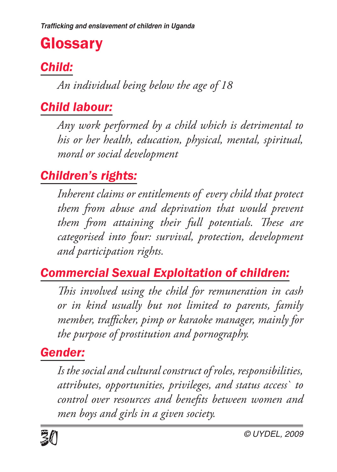## **Glossary**

#### *Child:*

*An individual being below the age of 18* 

#### *Child labour:*

*Any work performed by a child which is detrimental to his or her health, education, physical, mental, spiritual, moral or social development* 

#### *Children's rights:*

*Inherent claims or entitlements of every child that protect them from abuse and deprivation that would prevent them from attaining their full potentials. These are categorised into four: survival, protection, development and participation rights.* 

#### *Commercial Sexual Exploitation of children:*

*This involved using the child for remuneration in cash or in kind usually but not limited to parents, family member, trafficker, pimp or karaoke manager, mainly for the purpose of prostitution and pornography.* 

#### *Gender:*

*Is the social and cultural construct of roles, responsibilities, attributes, opportunities, privileges, and status access` to control over resources and benefits between women and men boys and girls in a given society.*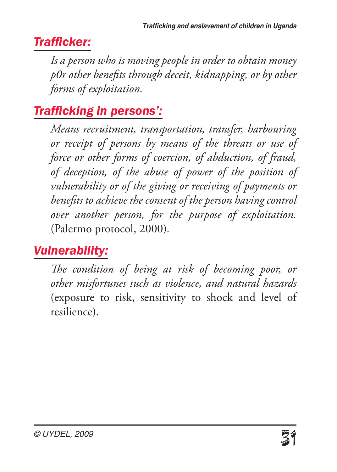#### *Trafficker:*

*Is a person who is moving people in order to obtain money p0r other benefits through deceit, kidnapping, or by other forms of exploitation.*

#### *Trafficking in persons':*

*Means recruitment, transportation, transfer, harbouring or receipt of persons by means of the threats or use of force or other forms of coercion, of abduction, of fraud, of deception, of the abuse of power of the position of vulnerability or of the giving or receiving of payments or benefits to achieve the consent of the person having control over another person, for the purpose of exploitation.*  (Palermo protocol, 2000)*.*

#### *Vulnerability:*

*The condition of being at risk of becoming poor, or other misfortunes such as violence, and natural hazards*  (exposure to risk, sensitivity to shock and level of resilience)*.*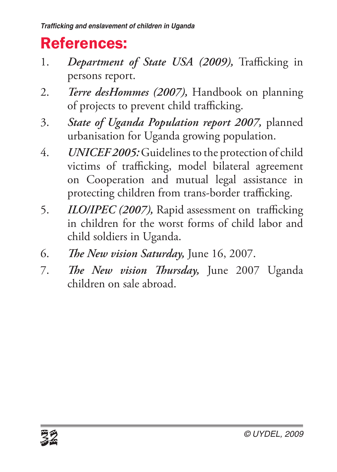## References:

- 1. *Department of State USA (2009),* Trafficking in persons report.
- 2. *Terre desHommes (2007),* Handbook on planning of projects to prevent child trafficking.
- 3. *State of Uganda Population report 2007,* planned urbanisation for Uganda growing population.
- 4. *UNICEF 2005:* Guidelines to the protection of child victims of trafficking, model bilateral agreement on Cooperation and mutual legal assistance in protecting children from trans-border trafficking.
- 5. *ILO/IPEC (2007),* Rapid assessment on trafficking in children for the worst forms of child labor and child soldiers in Uganda.
- 6. *The New vision Saturday,* June 16, 2007.
- 7. *The New vision Thursday,* June 2007 Uganda children on sale abroad.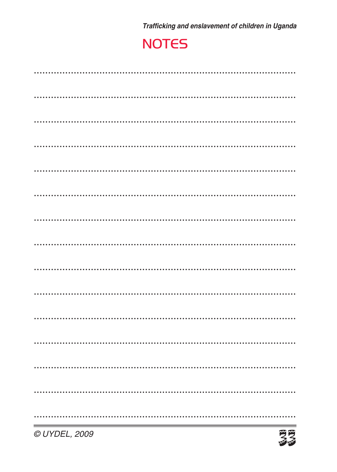Trafficking and enslavement of children in Uganda

#### **NOTES**

| © UYDEL, 2009 | 受受 |
|---------------|----|
|               |    |
|               |    |
|               |    |
|               |    |
|               |    |
|               |    |
|               |    |
|               |    |
|               |    |
|               |    |
|               |    |
|               |    |
|               |    |
|               |    |
|               |    |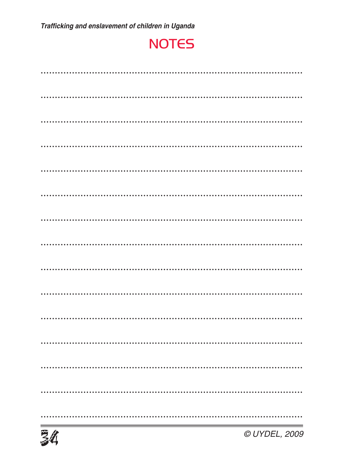#### **NOTES**

| © UYDEL, 2009<br>34 |  |
|---------------------|--|
|                     |  |
|                     |  |
|                     |  |
|                     |  |
|                     |  |
|                     |  |
|                     |  |
|                     |  |
|                     |  |
|                     |  |
|                     |  |
|                     |  |
|                     |  |
|                     |  |
|                     |  |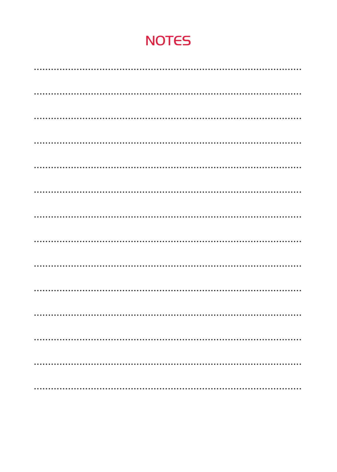#### **NOTES**